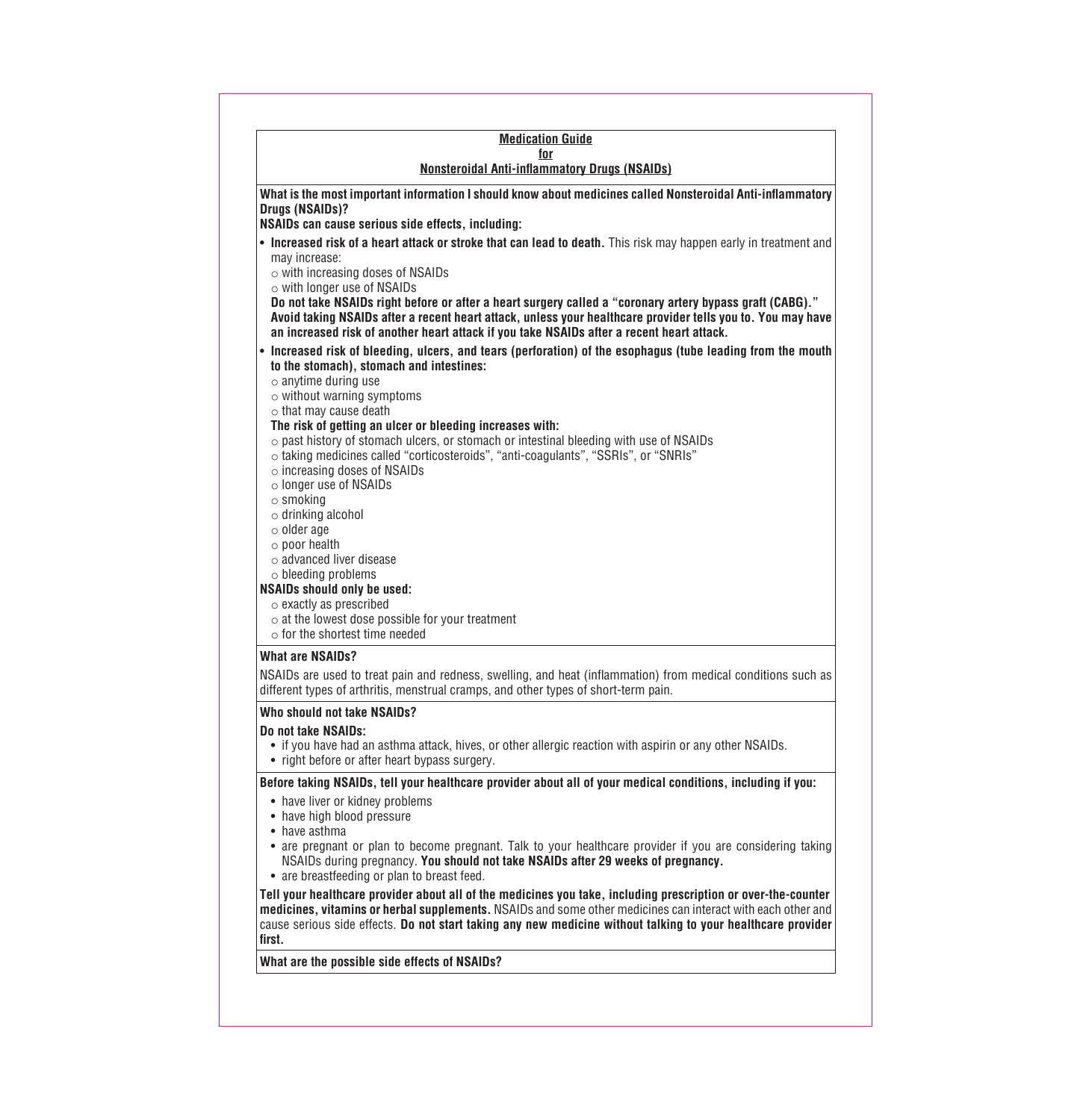#### **Medication Guide for Nonsteroidal Anti-inflammatory Drugs (NSAIDs)**

**What is the most important information I should know about medicines called Nonsteroidal Anti-inflammatory Drugs (NSAIDs)?**

**NSAIDs can cause serious side effects, including:**

• **Increased risk of a heart attack or stroke that can lead to death.** This risk may happen early in treatment and may increase:

 $\circ$  with increasing doses of NSAIDs

o with longer use of NSAIDs

**Do not take NSAIDs right before or after a heart surgery called a "coronary artery bypass graft (CABG)." Avoid taking NSAIDs after a recent heart attack, unless your healthcare provider tells you to. You may have an increased risk of another heart attack if you take NSAIDs after a recent heart attack.**

• **Increased risk of bleeding, ulcers, and tears (perforation) of the esophagus (tube leading from the mouth to the stomach), stomach and intestines:**

 $\circ$  anytime during use

o without warning symptoms

o that may cause death

### **The risk of getting an ulcer or bleeding increases with:**

- $\circ$  past history of stomach ulcers, or stomach or intestinal bleeding with use of NSAIDs
- o taking medicines called "corticosteroids", "anti-coagulants", "SSRIs", or "SNRIs"

o increasing doses of NSAIDs

- o longer use of NSAIDs
- o smoking
- o drinking alcohol
- o older age
- o poor health
- o advanced liver disease
- $\circ$  bleeding problems

# **NSAIDs should only be used:**

- o exactly as prescribed
- $\circ$  at the lowest dose possible for your treatment
- $\circ$  for the shortest time needed

### **What are NSAIDs?**

NSAIDs are used to treat pain and redness, swelling, and heat (inflammation) from medical conditions such as different types of arthritis, menstrual cramps, and other types of short-term pain.

### **Who should not take NSAIDs?**

### **Do not take NSAIDs:**

- if you have had an asthma attack, hives, or other allergic reaction with aspirin or any other NSAIDs.
- right before or after heart bypass surgery.

### **Before taking NSAIDs, tell your healthcare provider about all of your medical conditions, including if you:**

- have liver or kidney problems
- have high blood pressure
- have asthma
- are pregnant or plan to become pregnant. Talk to your healthcare provider if you are considering taking NSAIDs during pregnancy. **You should not take NSAIDs after 29 weeks of pregnancy.**
- are breastfeeding or plan to breast feed.

**Tell your healthcare provider about all of the medicines you take, including prescription or over-the-counter medicines, vitamins or herbal supplements.** NSAIDs and some other medicines can interact with each other and cause serious side effects. **Do not start taking any new medicine without talking to your healthcare provider first.**

# **What are the possible side effects of NSAIDs?**